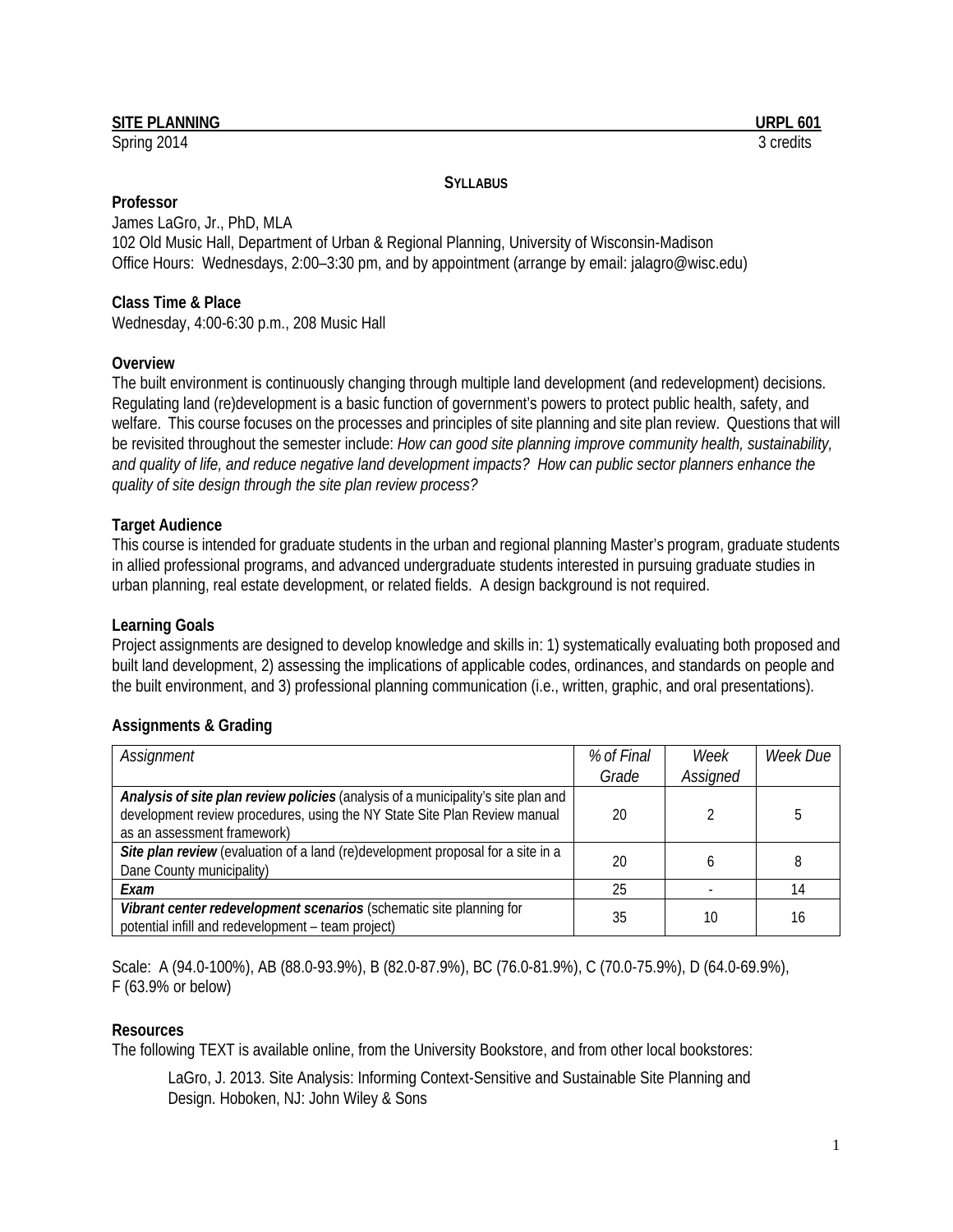#### **SITE PLANNING URPL 601**

Spring 2014 3 credits

**SYLLABUS**

#### **Professor**

James LaGro, Jr., PhD, MLA 102 Old Music Hall, Department of Urban & Regional Planning, University of Wisconsin-Madison Office Hours: Wednesdays, 2:00–3:30 pm, and by appointment (arrange by email[: jalagro@wisc.edu\)](mailto:jalagro@wisc.edu)

### **Class Time & Place**

Wednesday, 4:00-6:30 p.m., 208 Music Hall

### **Overview**

The built environment is continuously changing through multiple land development (and redevelopment) decisions. Regulating land (re)development is a basic function of government's powers to protect public health, safety, and welfare. This course focuses on the processes and principles of site planning and site plan review. Questions that will be revisited throughout the semester include: *How can good site planning improve community health, sustainability, and quality of life, and reduce negative land development impacts? How can public sector planners enhance the quality of site design through the site plan review process?*

### **Target Audience**

This course is intended for graduate students in the urban and regional planning Master's program, graduate students in allied professional programs, and advanced undergraduate students interested in pursuing graduate studies in urban planning, real estate development, or related fields. A design background is not required.

### **Learning Goals**

Project assignments are designed to develop knowledge and skills in: 1) systematically evaluating both proposed and built land development, 2) assessing the implications of applicable codes, ordinances, and standards on people and the built environment, and 3) professional planning communication (i.e., written, graphic, and oral presentations).

# **Assignments & Grading**

| Assignment                                                                        | % of Final | Week     | Week Due |
|-----------------------------------------------------------------------------------|------------|----------|----------|
|                                                                                   | Grade      | Assigned |          |
| Analysis of site plan review policies (analysis of a municipality's site plan and |            |          |          |
| development review procedures, using the NY State Site Plan Review manual         | 20         |          |          |
| as an assessment framework)                                                       |            |          |          |
| Site plan review (evaluation of a land (re)development proposal for a site in a   | 20         |          |          |
| Dane County municipality)                                                         |            |          |          |
| Exam                                                                              | 25         |          | 14       |
| Vibrant center redevelopment scenarios (schematic site planning for               | 35         | 10       | 16       |
| potential infill and redevelopment - team project)                                |            |          |          |

Scale: A (94.0-100%), AB (88.0-93.9%), B (82.0-87.9%), BC (76.0-81.9%), C (70.0-75.9%), D (64.0-69.9%), F (63.9% or below)

### **Resources**

The following TEXT is available online, from the University Bookstore, and from other local bookstores:

LaGro, J. 2013. Site Analysis: Informing Context-Sensitive and Sustainable Site Planning and Design. Hoboken, NJ: John Wiley & Sons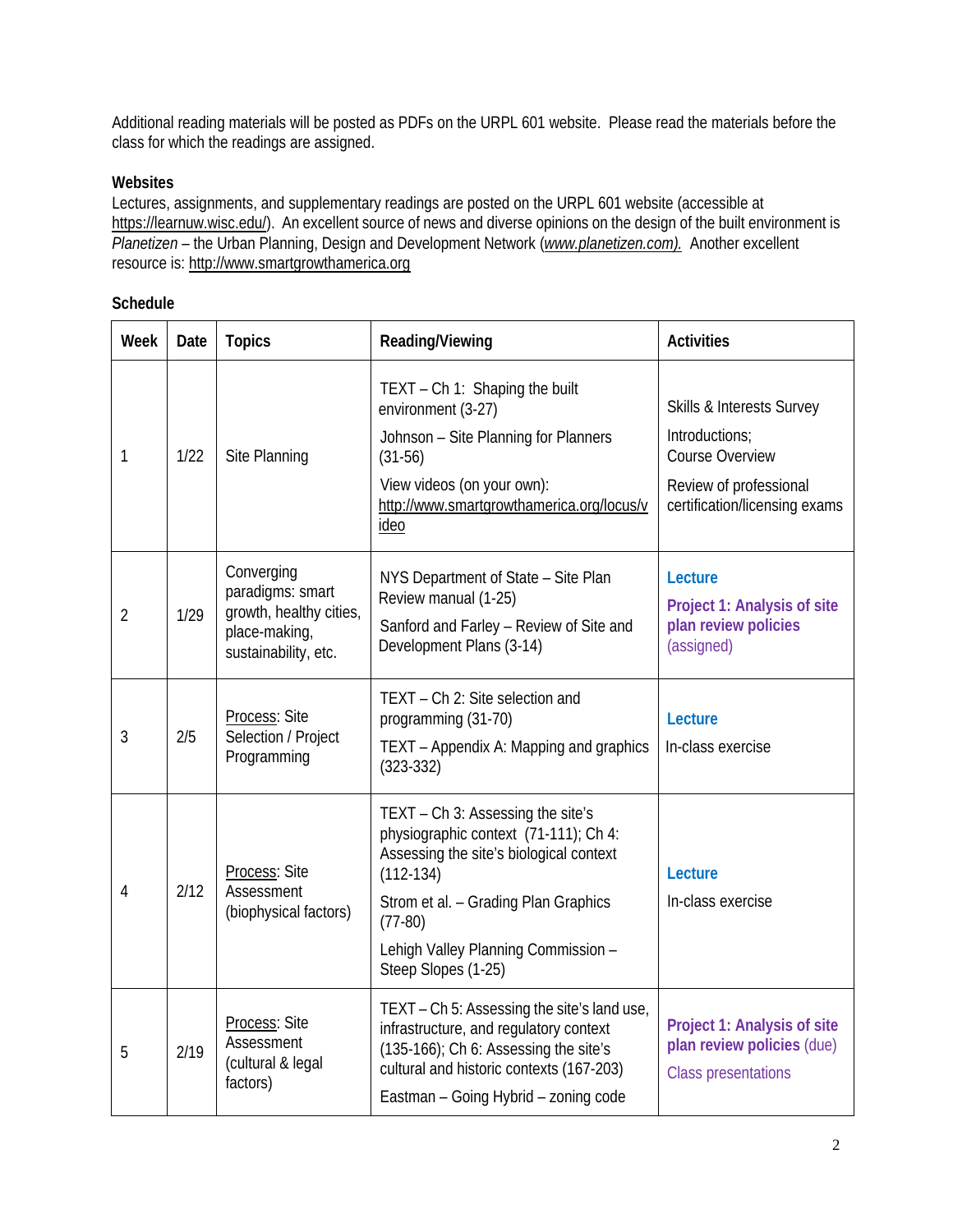Additional reading materials will be posted as PDFs on the URPL 601 website. Please read the materials before the class for which the readings are assigned.

## **Websites**

Lectures, assignments, and supplementary readings are posted on the URPL 601 website (accessible at [https://learnuw.wisc.edu/\)](https://learnuw.wisc.edu/). An excellent source of news and diverse opinions on the design of the built environment is *Planetizen* – the Urban Planning, Design and Development Network (*[www.planetizen.com\)](http://www.planetizen.com/).* Another excellent resource is: [http://www.smartgrowthamerica.org](http://www.smartgrowthamerica.org/)

### **Schedule**

| Week           | Date | <b>Topics</b>                                                                                      | Reading/Viewing                                                                                                                                                                                                                                         | <b>Activities</b>                                                                                                         |
|----------------|------|----------------------------------------------------------------------------------------------------|---------------------------------------------------------------------------------------------------------------------------------------------------------------------------------------------------------------------------------------------------------|---------------------------------------------------------------------------------------------------------------------------|
| 1              | 1/22 | Site Planning                                                                                      | TEXT - Ch 1: Shaping the built<br>environment (3-27)<br>Johnson - Site Planning for Planners<br>$(31-56)$<br>View videos (on your own):<br>http://www.smartgrowthamerica.org/locus/v<br>ideo                                                            | Skills & Interests Survey<br>Introductions:<br>Course Overview<br>Review of professional<br>certification/licensing exams |
| $\overline{2}$ | 1/29 | Converging<br>paradigms: smart<br>growth, healthy cities,<br>place-making,<br>sustainability, etc. | NYS Department of State - Site Plan<br>Review manual (1-25)<br>Sanford and Farley - Review of Site and<br>Development Plans (3-14)                                                                                                                      | Lecture<br>Project 1: Analysis of site<br>plan review policies<br>(assigned)                                              |
| 3              | 2/5  | Process: Site<br>Selection / Project<br>Programming                                                | TEXT - Ch 2: Site selection and<br>programming (31-70)<br>TEXT – Appendix A: Mapping and graphics<br>$(323 - 332)$                                                                                                                                      | Lecture<br>In-class exercise                                                                                              |
| 4              | 2/12 | Process: Site<br>Assessment<br>(biophysical factors)                                               | TEXT - Ch 3: Assessing the site's<br>physiographic context (71-111); Ch 4:<br>Assessing the site's biological context<br>$(112-134)$<br>Strom et al. - Grading Plan Graphics<br>$(77-80)$<br>Lehigh Valley Planning Commission -<br>Steep Slopes (1-25) | Lecture<br>In-class exercise                                                                                              |
| 5              | 2/19 | Process: Site<br>Assessment<br>(cultural & legal<br>factors)                                       | TEXT – Ch 5: Assessing the site's land use,<br>infrastructure, and regulatory context<br>(135-166); Ch 6: Assessing the site's<br>cultural and historic contexts (167-203)<br>Eastman - Going Hybrid - zoning code                                      | Project 1: Analysis of site<br>plan review policies (due)<br><b>Class presentations</b>                                   |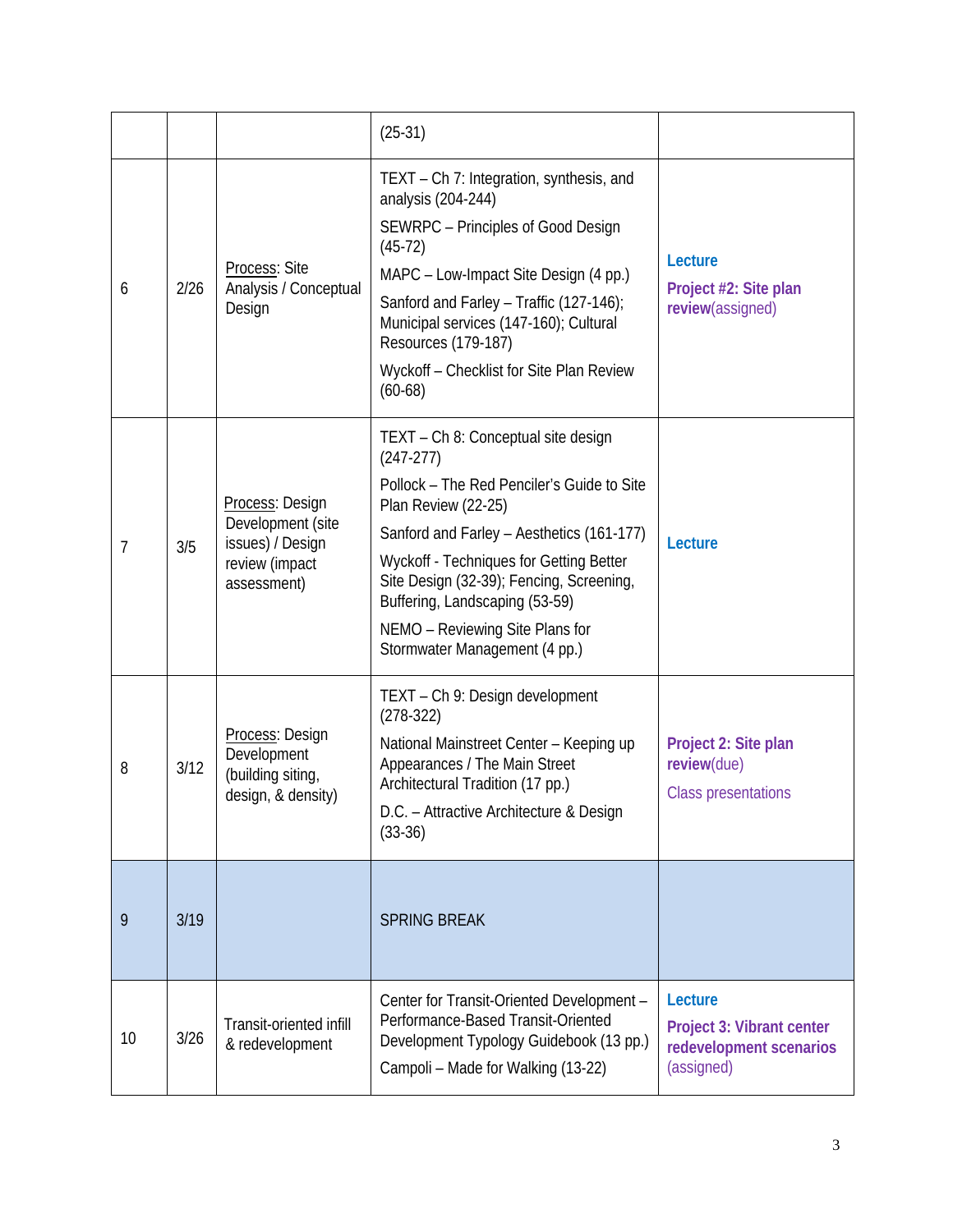|    |      |                                                                                           | $(25-31)$                                                                                                                                                                                                                                                                                                                                                         |                                                                               |
|----|------|-------------------------------------------------------------------------------------------|-------------------------------------------------------------------------------------------------------------------------------------------------------------------------------------------------------------------------------------------------------------------------------------------------------------------------------------------------------------------|-------------------------------------------------------------------------------|
| 6  | 2/26 | Process: Site<br>Analysis / Conceptual<br>Design                                          | TEXT - Ch 7: Integration, synthesis, and<br>analysis (204-244)<br>SEWRPC - Principles of Good Design<br>$(45-72)$<br>MAPC - Low-Impact Site Design (4 pp.)<br>Sanford and Farley - Traffic (127-146);<br>Municipal services (147-160); Cultural<br>Resources (179-187)<br>Wyckoff - Checklist for Site Plan Review<br>$(60-68)$                                   | Lecture<br>Project #2: Site plan<br>review(assigned)                          |
| 7  | 3/5  | Process: Design<br>Development (site<br>issues) / Design<br>review (impact<br>assessment) | TEXT - Ch 8: Conceptual site design<br>$(247-277)$<br>Pollock - The Red Penciler's Guide to Site<br>Plan Review (22-25)<br>Sanford and Farley - Aesthetics (161-177)<br>Wyckoff - Techniques for Getting Better<br>Site Design (32-39); Fencing, Screening,<br>Buffering, Landscaping (53-59)<br>NEMO - Reviewing Site Plans for<br>Stormwater Management (4 pp.) | Lecture                                                                       |
| 8  | 3/12 | Process: Design<br>Development<br>(building siting,<br>design, & density)                 | TEXT - Ch 9: Design development<br>$(278-322)$<br>National Mainstreet Center - Keeping up<br>Appearances / The Main Street<br>Architectural Tradition (17 pp.)<br>D.C. - Attractive Architecture & Design<br>$(33-36)$                                                                                                                                            | Project 2: Site plan<br>review(due)<br><b>Class presentations</b>             |
| 9  | 3/19 |                                                                                           | <b>SPRING BREAK</b>                                                                                                                                                                                                                                                                                                                                               |                                                                               |
| 10 | 3/26 | Transit-oriented infill<br>& redevelopment                                                | Center for Transit-Oriented Development -<br>Performance-Based Transit-Oriented<br>Development Typology Guidebook (13 pp.)<br>Campoli - Made for Walking (13-22)                                                                                                                                                                                                  | Lecture<br>Project 3: Vibrant center<br>redevelopment scenarios<br>(assigned) |